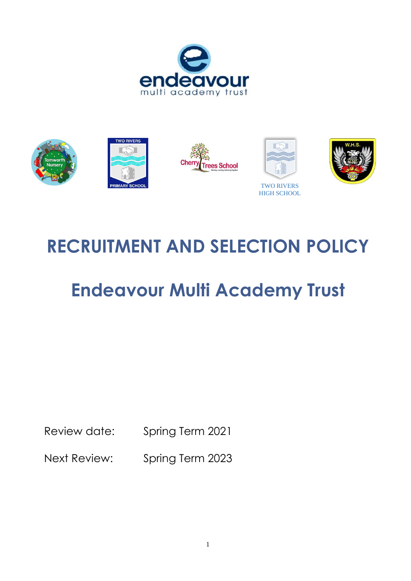



# **RECRUITMENT AND SELECTION POLICY**

# **Endeavour Multi Academy Trust**

Review date: Spring Term 2021

Next Review: Spring Term 2023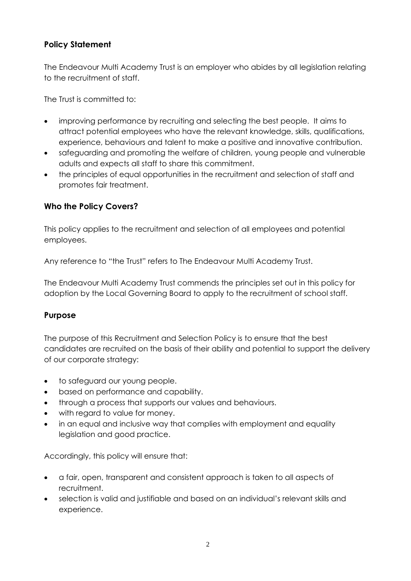# **Policy Statement**

The Endeavour Multi Academy Trust is an employer who abides by all legislation relating to the recruitment of staff.

The Trust is committed to:

- improving performance by recruiting and selecting the best people. It aims to attract potential employees who have the relevant knowledge, skills, qualifications, experience, behaviours and talent to make a positive and innovative contribution.
- safeguarding and promoting the welfare of children, young people and vulnerable adults and expects all staff to share this commitment.
- the principles of equal opportunities in the recruitment and selection of staff and promotes fair treatment.

#### **Who the Policy Covers?**

This policy applies to the recruitment and selection of all employees and potential employees.

Any reference to "the Trust" refers to The Endeavour Multi Academy Trust.

The Endeavour Multi Academy Trust commends the principles set out in this policy for adoption by the Local Governing Board to apply to the recruitment of school staff.

# **Purpose**

The purpose of this Recruitment and Selection Policy is to ensure that the best candidates are recruited on the basis of their ability and potential to support the delivery of our corporate strategy:

- to safeguard our young people.
- based on performance and capability.
- through a process that supports our values and behaviours.
- with regard to value for money.
- in an equal and inclusive way that complies with employment and equality legislation and good practice.

Accordingly, this policy will ensure that:

- a fair, open, transparent and consistent approach is taken to all aspects of recruitment.
- selection is valid and justifiable and based on an individual's relevant skills and experience.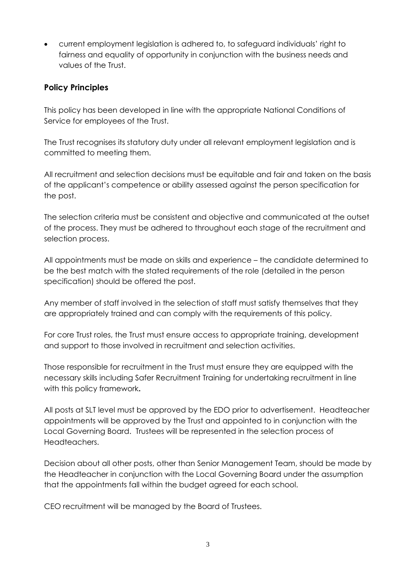• current employment legislation is adhered to, to safeguard individuals' right to fairness and equality of opportunity in conjunction with the business needs and values of the Trust.

#### **Policy Principles**

This policy has been developed in line with the appropriate National Conditions of Service for employees of the Trust.

The Trust recognises its statutory duty under all relevant employment legislation and is committed to meeting them.

All recruitment and selection decisions must be equitable and fair and taken on the basis of the applicant's competence or ability assessed against the person specification for the post.

The selection criteria must be consistent and objective and communicated at the outset of the process. They must be adhered to throughout each stage of the recruitment and selection process.

All appointments must be made on skills and experience – the candidate determined to be the best match with the stated requirements of the role (detailed in the person specification) should be offered the post.

Any member of staff involved in the selection of staff must satisfy themselves that they are appropriately trained and can comply with the requirements of this policy.

For core Trust roles, the Trust must ensure access to appropriate training, development and support to those involved in recruitment and selection activities.

Those responsible for recruitment in the Trust must ensure they are equipped with the necessary skills including Safer Recruitment Training for undertaking recruitment in line with this policy framework**.** 

All posts at SLT level must be approved by the EDO prior to advertisement. Headteacher appointments will be approved by the Trust and appointed to in conjunction with the Local Governing Board. Trustees will be represented in the selection process of Headteachers.

Decision about all other posts, other than Senior Management Team, should be made by the Headteacher in conjunction with the Local Governing Board under the assumption that the appointments fall within the budget agreed for each school.

CEO recruitment will be managed by the Board of Trustees.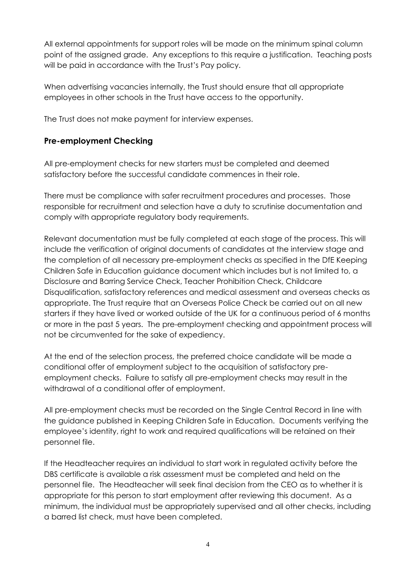All external appointments for support roles will be made on the minimum spinal column point of the assigned grade. Any exceptions to this require a justification. Teaching posts will be paid in accordance with the Trust's Pay policy.

When advertising vacancies internally, the Trust should ensure that all appropriate employees in other schools in the Trust have access to the opportunity.

The Trust does not make payment for interview expenses.

# **Pre-employment Checking**

All pre-employment checks for new starters must be completed and deemed satisfactory before the successful candidate commences in their role.

There must be compliance with safer recruitment procedures and processes. Those responsible for recruitment and selection have a duty to scrutinise documentation and comply with appropriate regulatory body requirements.

Relevant documentation must be fully completed at each stage of the process. This will include the verification of original documents of candidates at the interview stage and the completion of all necessary pre-employment checks as specified in the DfE Keeping Children Safe in Education guidance document which includes but is not limited to, a Disclosure and Barring Service Check, Teacher Prohibition Check, Childcare Disqualification, satisfactory references and medical assessment and overseas checks as appropriate. The Trust require that an Overseas Police Check be carried out on all new starters if they have lived or worked outside of the UK for a continuous period of 6 months or more in the past 5 years. The pre-employment checking and appointment process will not be circumvented for the sake of expediency.

At the end of the selection process, the preferred choice candidate will be made a conditional offer of employment subject to the acquisition of satisfactory preemployment checks. Failure to satisfy all pre-employment checks may result in the withdrawal of a conditional offer of employment.

All pre-employment checks must be recorded on the Single Central Record in line with the guidance published in Keeping Children Safe in Education. Documents verifying the employee's identity, right to work and required qualifications will be retained on their personnel file.

If the Headteacher requires an individual to start work in regulated activity before the DBS certificate is available a risk assessment must be completed and held on the personnel file. The Headteacher will seek final decision from the CEO as to whether it is appropriate for this person to start employment after reviewing this document. As a minimum, the individual must be appropriately supervised and all other checks, including a barred list check, must have been completed.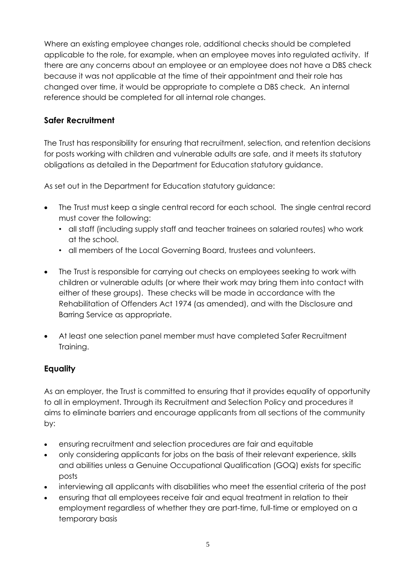Where an existing employee changes role, additional checks should be completed applicable to the role, for example, when an employee moves into regulated activity. If there are any concerns about an employee or an employee does not have a DBS check because it was not applicable at the time of their appointment and their role has changed over time, it would be appropriate to complete a DBS check. An internal reference should be completed for all internal role changes.

# **Safer Recruitment**

The Trust has responsibility for ensuring that recruitment, selection, and retention decisions for posts working with children and vulnerable adults are safe, and it meets its statutory obligations as detailed in the Department for Education statutory guidance.

As set out in the Department for Education statutory guidance:

- The Trust must keep a single central record for each school. The single central record must cover the following:
	- all staff (including supply staff and teacher trainees on salaried routes) who work at the school.
	- all members of the Local Governing Board, trustees and volunteers.
- The Trust is responsible for carrying out checks on employees seeking to work with children or vulnerable adults (or where their work may bring them into contact with either of these groups). These checks will be made in accordance with the Rehabilitation of Offenders Act 1974 (as amended), and with the Disclosure and Barring Service as appropriate.
- At least one selection panel member must have completed Safer Recruitment Training.

# **Equality**

As an employer, the Trust is committed to ensuring that it provides equality of opportunity to all in employment. Through its Recruitment and Selection Policy and procedures it aims to eliminate barriers and encourage applicants from all sections of the community by:

- ensuring recruitment and selection procedures are fair and equitable
- only considering applicants for jobs on the basis of their relevant experience, skills and abilities unless a Genuine Occupational Qualification (GOQ) exists for specific posts
- interviewing all applicants with disabilities who meet the essential criteria of the post
- ensuring that all employees receive fair and equal treatment in relation to their employment regardless of whether they are part-time, full-time or employed on a temporary basis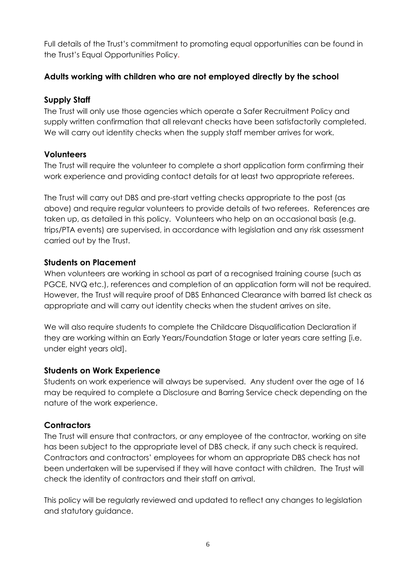Full details of the Trust's commitment to promoting equal opportunities can be found in the Trust's Equal Opportunities Policy.

#### **Adults working with children who are not employed directly by the school**

#### **Supply Staff**

The Trust will only use those agencies which operate a Safer Recruitment Policy and supply written confirmation that all relevant checks have been satisfactorily completed. We will carry out identity checks when the supply staff member arrives for work.

# **Volunteers**

The Trust will require the volunteer to complete a short application form confirming their work experience and providing contact details for at least two appropriate referees.

The Trust will carry out DBS and pre-start vetting checks appropriate to the post (as above) and require regular volunteers to provide details of two referees. References are taken up, as detailed in this policy. Volunteers who help on an occasional basis (e.g. trips/PTA events) are supervised, in accordance with legislation and any risk assessment carried out by the Trust.

#### **Students on Placement**

When volunteers are working in school as part of a recognised training course (such as PGCE, NVQ etc.), references and completion of an application form will not be required. However, the Trust will require proof of DBS Enhanced Clearance with barred list check as appropriate and will carry out identity checks when the student arrives on site.

We will also require students to complete the Childcare Disqualification Declaration if they are working within an Early Years/Foundation Stage or later years care setting [i.e. under eight years old].

# **Students on Work Experience**

Students on work experience will always be supervised. Any student over the age of 16 may be required to complete a Disclosure and Barring Service check depending on the nature of the work experience.

# **Contractors**

The Trust will ensure that contractors, or any employee of the contractor, working on site has been subject to the appropriate level of DBS check, if any such check is required. Contractors and contractors' employees for whom an appropriate DBS check has not been undertaken will be supervised if they will have contact with children. The Trust will check the identity of contractors and their staff on arrival.

This policy will be regularly reviewed and updated to reflect any changes to legislation and statutory guidance.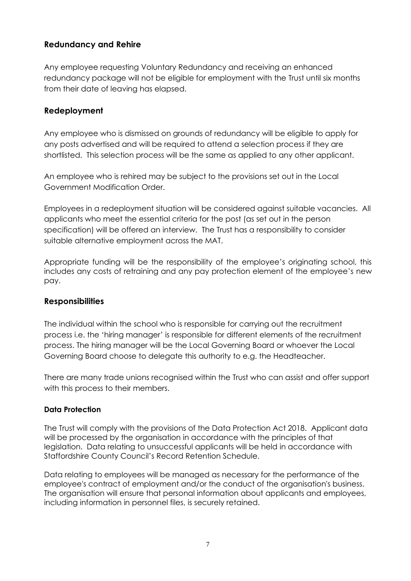### **Redundancy and Rehire**

Any employee requesting Voluntary Redundancy and receiving an enhanced redundancy package will not be eligible for employment with the Trust until six months from their date of leaving has elapsed.

#### **Redeployment**

Any employee who is dismissed on grounds of redundancy will be eligible to apply for any posts advertised and will be required to attend a selection process if they are shortlisted. This selection process will be the same as applied to any other applicant.

An employee who is rehired may be subject to the provisions set out in the Local Government Modification Order.

Employees in a redeployment situation will be considered against suitable vacancies. All applicants who meet the essential criteria for the post (as set out in the person specification) will be offered an interview. The Trust has a responsibility to consider suitable alternative employment across the MAT.

Appropriate funding will be the responsibility of the employee's originating school, this includes any costs of retraining and any pay protection element of the employee's new pay.

#### **Responsibilities**

The individual within the school who is responsible for carrying out the recruitment process i.e. the 'hiring manager' is responsible for different elements of the recruitment process. The hiring manager will be the Local Governing Board or whoever the Local Governing Board choose to delegate this authority to e.g. the Headteacher.

There are many trade unions recognised within the Trust who can assist and offer support with this process to their members.

#### **Data Protection**

The Trust will comply with the provisions of the Data Protection Act 2018. Applicant data will be processed by the organisation in accordance with the principles of that legislation. Data relating to unsuccessful applicants will be held in accordance with Staffordshire County Council's Record Retention Schedule.

Data relating to employees will be managed as necessary for the performance of the employee's contract of employment and/or the conduct of the organisation's business. The organisation will ensure that personal information about applicants and employees, including information in personnel files, is securely retained.